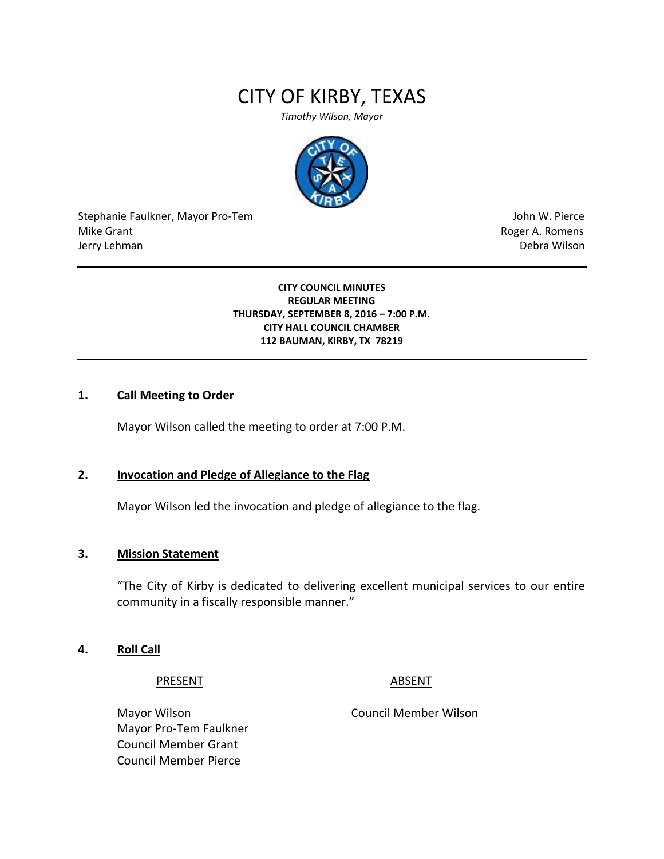# CITY OF KIRBY, TEXAS

*Timothy Wilson, Mayor*



Stephanie Faulkner, Mayor Pro-Tem John W. Pierce Mike Grant **Mike Grant** Roger A. Romens **Contract A. Romens Roger A. Romens** Jerry Lehman Debra Wilson

**CITY COUNCIL MINUTES REGULAR MEETING THURSDAY, SEPTEMBER 8, 2016 – 7:00 P.M. CITY HALL COUNCIL CHAMBER 112 BAUMAN, KIRBY, TX 78219**

## **1. Call Meeting to Order**

Mayor Wilson called the meeting to order at 7:00 P.M.

## **2. Invocation and Pledge of Allegiance to the Flag**

Mayor Wilson led the invocation and pledge of allegiance to the flag.

## **3. Mission Statement**

"The City of Kirby is dedicated to delivering excellent municipal services to our entire community in a fiscally responsible manner."

## **4. Roll Call**

PRESENT ABSENT

Mayor Wilson Council Member Wilson Mayor Pro-Tem Faulkner Council Member Grant Council Member Pierce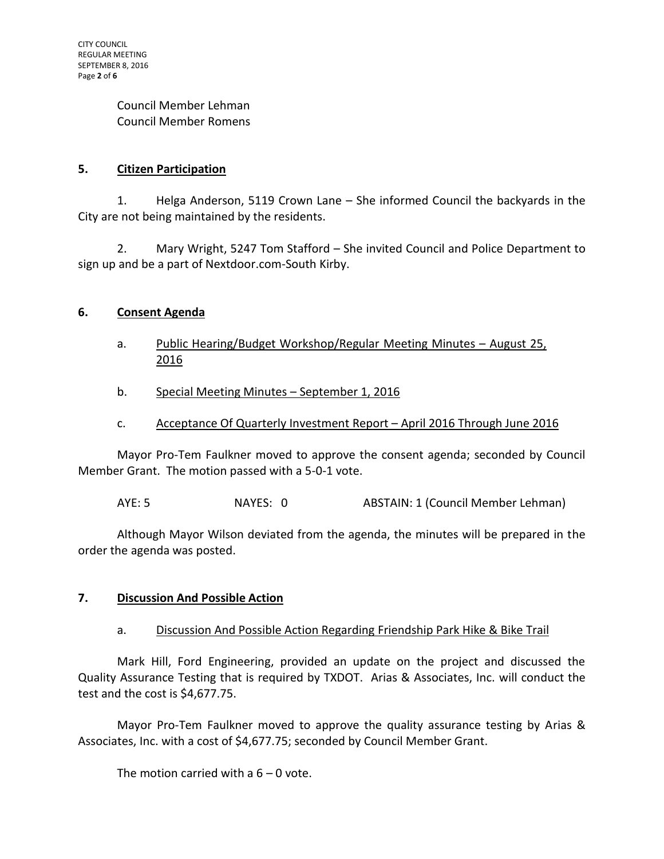Council Member Lehman Council Member Romens

# **5. Citizen Participation**

1. Helga Anderson, 5119 Crown Lane – She informed Council the backyards in the City are not being maintained by the residents.

2. Mary Wright, 5247 Tom Stafford – She invited Council and Police Department to sign up and be a part of Nextdoor.com-South Kirby.

# **6. Consent Agenda**

- a. Public Hearing/Budget Workshop/Regular Meeting Minutes August 25, 2016
- b. Special Meeting Minutes September 1, 2016
- c. Acceptance Of Quarterly Investment Report April 2016 Through June 2016

Mayor Pro-Tem Faulkner moved to approve the consent agenda; seconded by Council Member Grant. The motion passed with a 5-0-1 vote.

AYE: 5 NAYES: 0 ABSTAIN: 1 (Council Member Lehman)

Although Mayor Wilson deviated from the agenda, the minutes will be prepared in the order the agenda was posted.

# **7. Discussion And Possible Action**

# a. Discussion And Possible Action Regarding Friendship Park Hike & Bike Trail

Mark Hill, Ford Engineering, provided an update on the project and discussed the Quality Assurance Testing that is required by TXDOT. Arias & Associates, Inc. will conduct the test and the cost is \$4,677.75.

Mayor Pro-Tem Faulkner moved to approve the quality assurance testing by Arias & Associates, Inc. with a cost of \$4,677.75; seconded by Council Member Grant.

The motion carried with a  $6 - 0$  vote.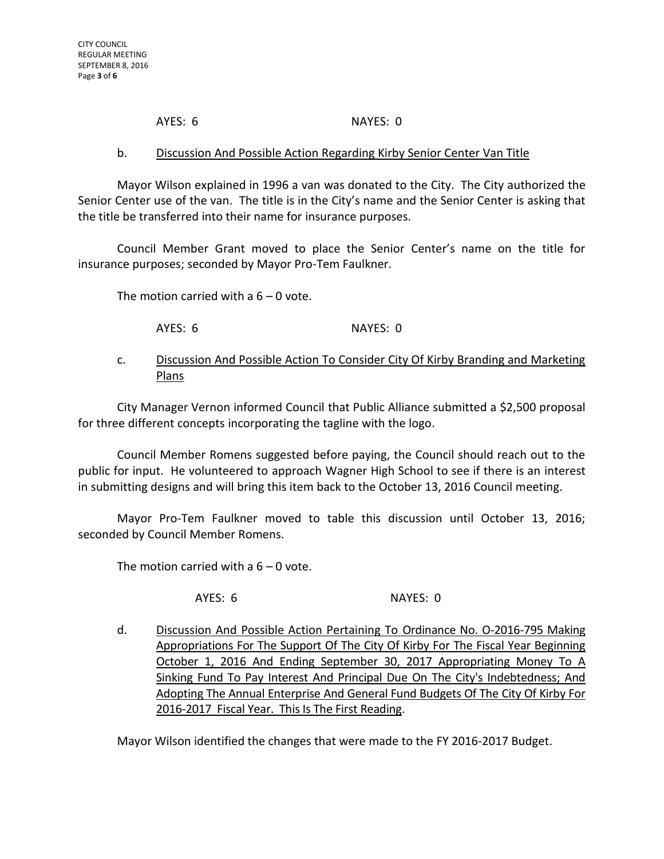# AYES: 6 NAYES: 0

## b. Discussion And Possible Action Regarding Kirby Senior Center Van Title

Mayor Wilson explained in 1996 a van was donated to the City. The City authorized the Senior Center use of the van. The title is in the City's name and the Senior Center is asking that the title be transferred into their name for insurance purposes.

Council Member Grant moved to place the Senior Center's name on the title for insurance purposes; seconded by Mayor Pro-Tem Faulkner.

The motion carried with a  $6 - 0$  vote.

AYES: 6 NAYES: 0

# c. Discussion And Possible Action To Consider City Of Kirby Branding and Marketing Plans

City Manager Vernon informed Council that Public Alliance submitted a \$2,500 proposal for three different concepts incorporating the tagline with the logo.

Council Member Romens suggested before paying, the Council should reach out to the public for input. He volunteered to approach Wagner High School to see if there is an interest in submitting designs and will bring this item back to the October 13, 2016 Council meeting.

Mayor Pro-Tem Faulkner moved to table this discussion until October 13, 2016; seconded by Council Member Romens.

The motion carried with a  $6 - 0$  vote.

AYES: 6 NAYES: 0

d. Discussion And Possible Action Pertaining To Ordinance No. O-2016-795 Making Appropriations For The Support Of The City Of Kirby For The Fiscal Year Beginning October 1, 2016 And Ending September 30, 2017 Appropriating Money To A Sinking Fund To Pay Interest And Principal Due On The City's Indebtedness; And Adopting The Annual Enterprise And General Fund Budgets Of The City Of Kirby For 2016-2017 Fiscal Year. This Is The First Reading.

Mayor Wilson identified the changes that were made to the FY 2016-2017 Budget.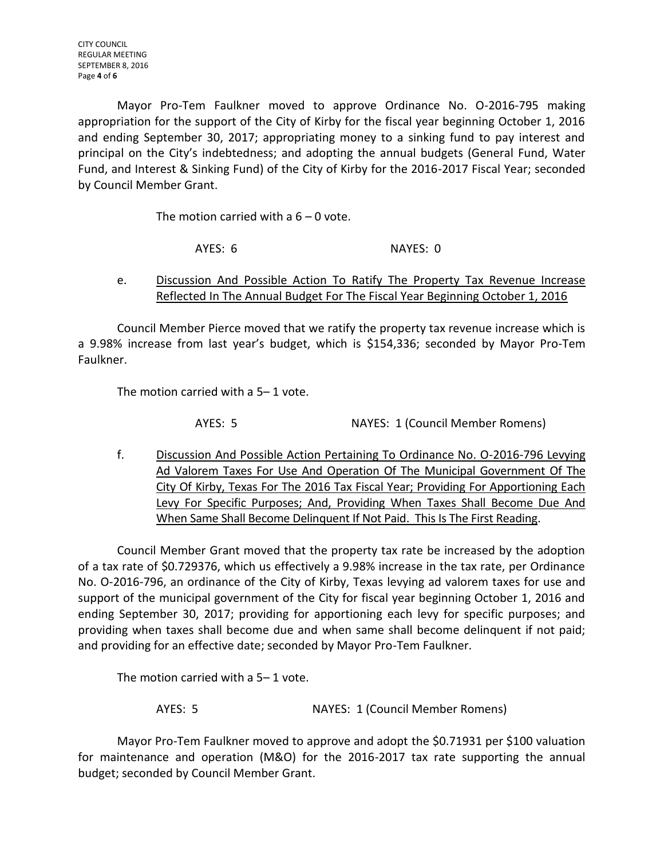Mayor Pro-Tem Faulkner moved to approve Ordinance No. O-2016-795 making appropriation for the support of the City of Kirby for the fiscal year beginning October 1, 2016 and ending September 30, 2017; appropriating money to a sinking fund to pay interest and principal on the City's indebtedness; and adopting the annual budgets (General Fund, Water Fund, and Interest & Sinking Fund) of the City of Kirby for the 2016-2017 Fiscal Year; seconded by Council Member Grant.

The motion carried with a  $6 - 0$  vote.

AYES: 6 NAYES: 0

e. Discussion And Possible Action To Ratify The Property Tax Revenue Increase Reflected In The Annual Budget For The Fiscal Year Beginning October 1, 2016

Council Member Pierce moved that we ratify the property tax revenue increase which is a 9.98% increase from last year's budget, which is \$154,336; seconded by Mayor Pro-Tem Faulkner.

The motion carried with a 5– 1 vote.

AYES: 5 NAYES: 1 (Council Member Romens)

f. Discussion And Possible Action Pertaining To Ordinance No. O-2016-796 Levying Ad Valorem Taxes For Use And Operation Of The Municipal Government Of The City Of Kirby, Texas For The 2016 Tax Fiscal Year; Providing For Apportioning Each Levy For Specific Purposes; And, Providing When Taxes Shall Become Due And When Same Shall Become Delinquent If Not Paid. This Is The First Reading.

Council Member Grant moved that the property tax rate be increased by the adoption of a tax rate of \$0.729376, which us effectively a 9.98% increase in the tax rate, per Ordinance No. O-2016-796, an ordinance of the City of Kirby, Texas levying ad valorem taxes for use and support of the municipal government of the City for fiscal year beginning October 1, 2016 and ending September 30, 2017; providing for apportioning each levy for specific purposes; and providing when taxes shall become due and when same shall become delinquent if not paid; and providing for an effective date; seconded by Mayor Pro-Tem Faulkner.

The motion carried with a 5– 1 vote.

AYES: 5 NAYES: 1 (Council Member Romens)

Mayor Pro-Tem Faulkner moved to approve and adopt the \$0.71931 per \$100 valuation for maintenance and operation (M&O) for the 2016-2017 tax rate supporting the annual budget; seconded by Council Member Grant.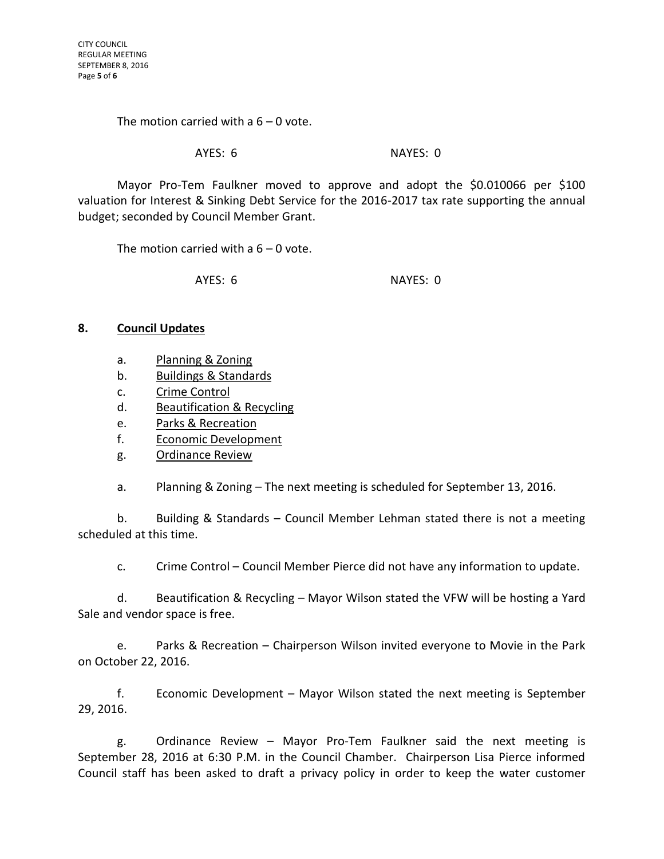The motion carried with  $a_0 = 0$  vote.

#### AYES: 6 NAYES: 0

Mayor Pro-Tem Faulkner moved to approve and adopt the \$0.010066 per \$100 valuation for Interest & Sinking Debt Service for the 2016-2017 tax rate supporting the annual budget; seconded by Council Member Grant.

The motion carried with a  $6 - 0$  vote.

AYES: 6 NAYES: 0

## **8. Council Updates**

- a. Planning & Zoning
- b. Buildings & Standards
- c. Crime Control
- d. Beautification & Recycling
- e. Parks & Recreation
- f. Economic Development
- g. Ordinance Review

a. Planning & Zoning – The next meeting is scheduled for September 13, 2016.

b. Building & Standards – Council Member Lehman stated there is not a meeting scheduled at this time.

c. Crime Control – Council Member Pierce did not have any information to update.

d. Beautification & Recycling – Mayor Wilson stated the VFW will be hosting a Yard Sale and vendor space is free.

e. Parks & Recreation – Chairperson Wilson invited everyone to Movie in the Park on October 22, 2016.

f. Economic Development – Mayor Wilson stated the next meeting is September 29, 2016.

g. Ordinance Review – Mayor Pro-Tem Faulkner said the next meeting is September 28, 2016 at 6:30 P.M. in the Council Chamber. Chairperson Lisa Pierce informed Council staff has been asked to draft a privacy policy in order to keep the water customer